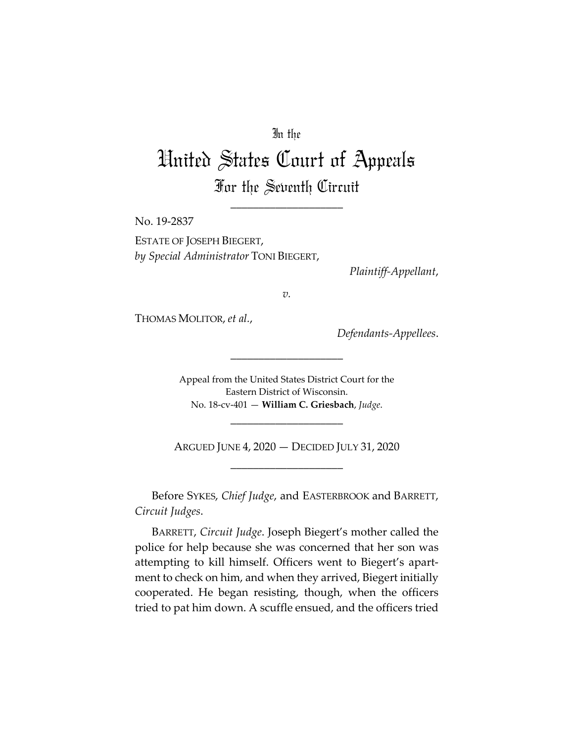## In the

## United States Court of Appeals For the Seventh Circuit

\_\_\_\_\_\_\_\_\_\_\_\_\_\_\_\_\_\_\_\_

No. 19-2837

ESTATE OF JOSEPH BIEGERT, *by Special Administrator* TONI BIEGERT,

*Plaintiff-Appellant*,

*v.*

THOMAS MOLITOR, *et al.*,

*Defendants-Appellees*.

Appeal from the United States District Court for the Eastern District of Wisconsin. No. 18-cv-401 — **William C. Griesbach**, *Judge*.

\_\_\_\_\_\_\_\_\_\_\_\_\_\_\_\_\_\_\_\_

\_\_\_\_\_\_\_\_\_\_\_\_\_\_\_\_\_\_\_\_

ARGUED JUNE 4, 2020 — DECIDED JULY 31, 2020 \_\_\_\_\_\_\_\_\_\_\_\_\_\_\_\_\_\_\_\_

Before SYKES, *Chief Judge*, and EASTERBROOK and BARRETT, *Circuit Judges*.

BARRETT, *Circuit Judge*. Joseph Biegert's mother called the police for help because she was concerned that her son was attempting to kill himself. Officers went to Biegert's apartment to check on him, and when they arrived, Biegert initially cooperated. He began resisting, though, when the officers tried to pat him down. A scuffle ensued, and the officers tried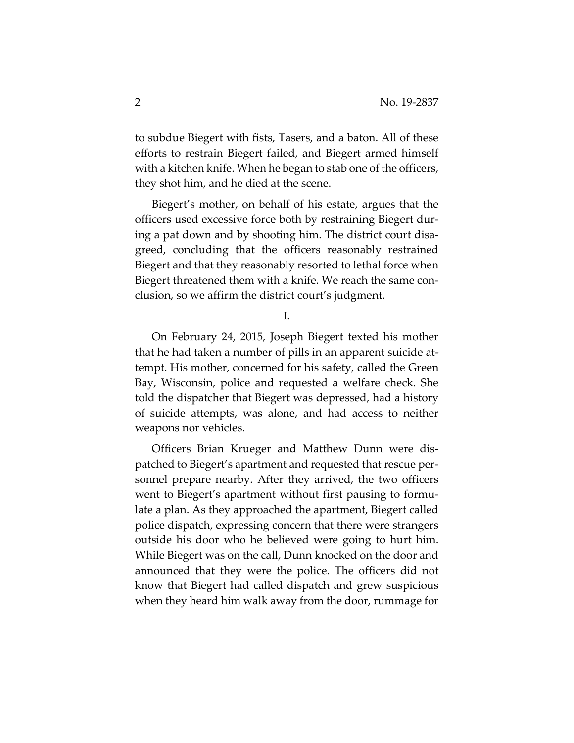to subdue Biegert with fists, Tasers, and a baton. All of these efforts to restrain Biegert failed, and Biegert armed himself with a kitchen knife. When he began to stab one of the officers, they shot him, and he died at the scene.

Biegert's mother, on behalf of his estate, argues that the officers used excessive force both by restraining Biegert during a pat down and by shooting him. The district court disagreed, concluding that the officers reasonably restrained Biegert and that they reasonably resorted to lethal force when Biegert threatened them with a knife. We reach the same conclusion, so we affirm the district court's judgment.

I.

On February 24, 2015, Joseph Biegert texted his mother that he had taken a number of pills in an apparent suicide attempt. His mother, concerned for his safety, called the Green Bay, Wisconsin, police and requested a welfare check. She told the dispatcher that Biegert was depressed, had a history of suicide attempts, was alone, and had access to neither weapons nor vehicles.

Officers Brian Krueger and Matthew Dunn were dispatched to Biegert's apartment and requested that rescue personnel prepare nearby. After they arrived, the two officers went to Biegert's apartment without first pausing to formulate a plan. As they approached the apartment, Biegert called police dispatch, expressing concern that there were strangers outside his door who he believed were going to hurt him. While Biegert was on the call, Dunn knocked on the door and announced that they were the police. The officers did not know that Biegert had called dispatch and grew suspicious when they heard him walk away from the door, rummage for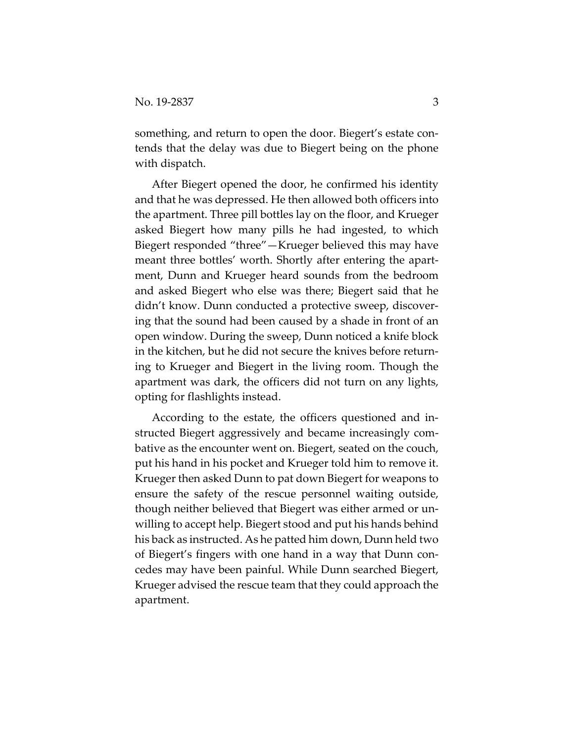something, and return to open the door. Biegert's estate contends that the delay was due to Biegert being on the phone with dispatch.

After Biegert opened the door, he confirmed his identity and that he was depressed. He then allowed both officers into the apartment. Three pill bottles lay on the floor, and Krueger asked Biegert how many pills he had ingested, to which Biegert responded "three"—Krueger believed this may have meant three bottles' worth. Shortly after entering the apartment, Dunn and Krueger heard sounds from the bedroom and asked Biegert who else was there; Biegert said that he didn't know. Dunn conducted a protective sweep, discovering that the sound had been caused by a shade in front of an open window. During the sweep, Dunn noticed a knife block in the kitchen, but he did not secure the knives before returning to Krueger and Biegert in the living room. Though the apartment was dark, the officers did not turn on any lights, opting for flashlights instead.

According to the estate, the officers questioned and instructed Biegert aggressively and became increasingly combative as the encounter went on. Biegert, seated on the couch, put his hand in his pocket and Krueger told him to remove it. Krueger then asked Dunn to pat down Biegert for weapons to ensure the safety of the rescue personnel waiting outside, though neither believed that Biegert was either armed or unwilling to accept help. Biegert stood and put his hands behind his back as instructed. As he patted him down, Dunn held two of Biegert's fingers with one hand in a way that Dunn concedes may have been painful. While Dunn searched Biegert, Krueger advised the rescue team that they could approach the apartment.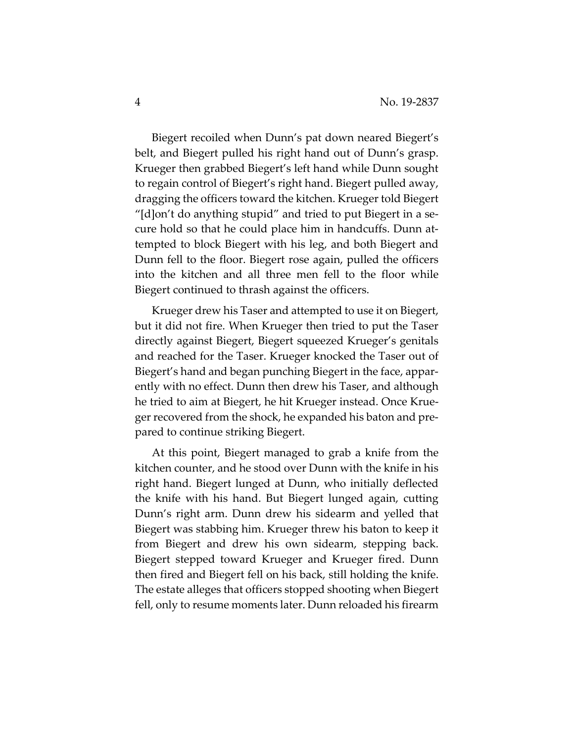Biegert recoiled when Dunn's pat down neared Biegert's belt, and Biegert pulled his right hand out of Dunn's grasp. Krueger then grabbed Biegert's left hand while Dunn sought to regain control of Biegert's right hand. Biegert pulled away, dragging the officers toward the kitchen. Krueger told Biegert "[d]on't do anything stupid" and tried to put Biegert in a secure hold so that he could place him in handcuffs. Dunn attempted to block Biegert with his leg, and both Biegert and Dunn fell to the floor. Biegert rose again, pulled the officers into the kitchen and all three men fell to the floor while Biegert continued to thrash against the officers.

Krueger drew his Taser and attempted to use it on Biegert, but it did not fire. When Krueger then tried to put the Taser directly against Biegert, Biegert squeezed Krueger's genitals and reached for the Taser. Krueger knocked the Taser out of Biegert's hand and began punching Biegert in the face, apparently with no effect. Dunn then drew his Taser, and although he tried to aim at Biegert, he hit Krueger instead. Once Krueger recovered from the shock, he expanded his baton and prepared to continue striking Biegert.

At this point, Biegert managed to grab a knife from the kitchen counter, and he stood over Dunn with the knife in his right hand. Biegert lunged at Dunn, who initially deflected the knife with his hand. But Biegert lunged again, cutting Dunn's right arm. Dunn drew his sidearm and yelled that Biegert was stabbing him. Krueger threw his baton to keep it from Biegert and drew his own sidearm, stepping back. Biegert stepped toward Krueger and Krueger fired. Dunn then fired and Biegert fell on his back, still holding the knife. The estate alleges that officers stopped shooting when Biegert fell, only to resume moments later. Dunn reloaded his firearm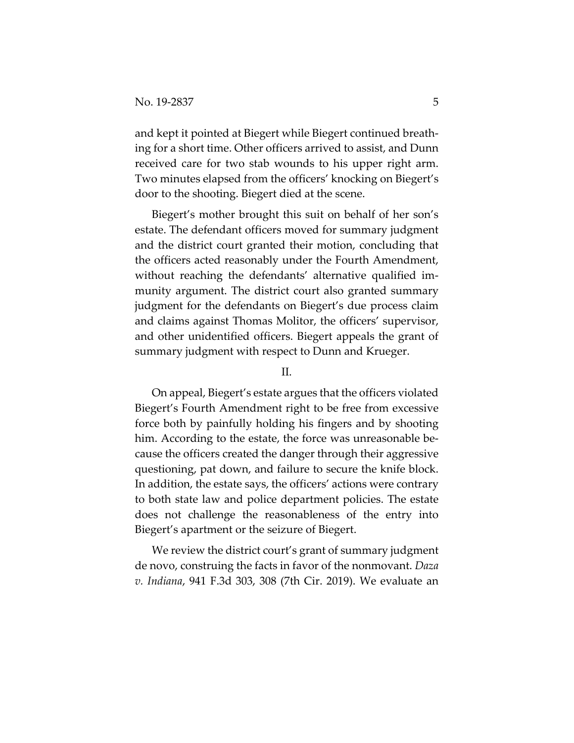and kept it pointed at Biegert while Biegert continued breathing for a short time. Other officers arrived to assist, and Dunn received care for two stab wounds to his upper right arm. Two minutes elapsed from the officers' knocking on Biegert's door to the shooting. Biegert died at the scene.

Biegert's mother brought this suit on behalf of her son's estate. The defendant officers moved for summary judgment and the district court granted their motion, concluding that the officers acted reasonably under the Fourth Amendment, without reaching the defendants' alternative qualified immunity argument. The district court also granted summary judgment for the defendants on Biegert's due process claim and claims against Thomas Molitor, the officers' supervisor, and other unidentified officers. Biegert appeals the grant of summary judgment with respect to Dunn and Krueger.

II.

On appeal, Biegert's estate argues that the officers violated Biegert's Fourth Amendment right to be free from excessive force both by painfully holding his fingers and by shooting him. According to the estate, the force was unreasonable because the officers created the danger through their aggressive questioning, pat down, and failure to secure the knife block. In addition, the estate says, the officers' actions were contrary to both state law and police department policies. The estate does not challenge the reasonableness of the entry into Biegert's apartment or the seizure of Biegert.

We review the district court's grant of summary judgment de novo, construing the facts in favor of the nonmovant. *Daza v. Indiana*, 941 F.3d 303, 308 (7th Cir. 2019). We evaluate an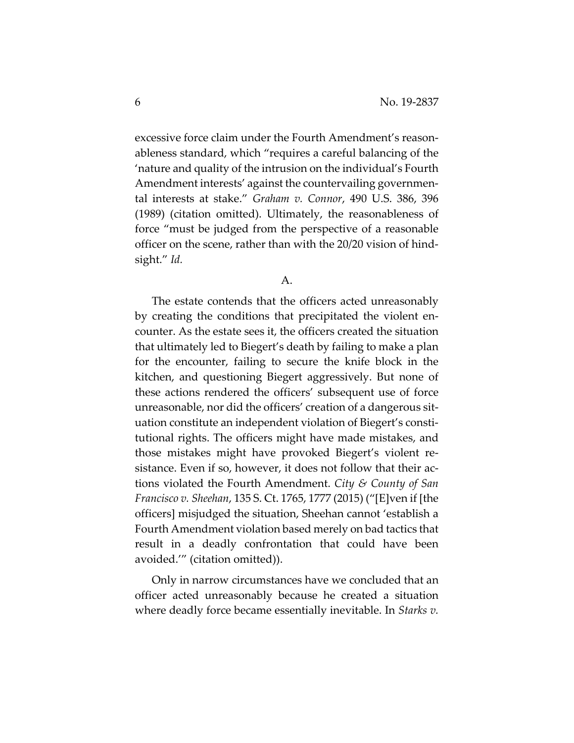excessive force claim under the Fourth Amendment's reasonableness standard, which "requires a careful balancing of the 'nature and quality of the intrusion on the individual's Fourth Amendment interests' against the countervailing governmental interests at stake." *Graham v. Connor*, 490 U.S. 386, 396 (1989) (citation omitted). Ultimately, the reasonableness of force "must be judged from the perspective of a reasonable officer on the scene, rather than with the 20/20 vision of hindsight." *Id.*

A.

The estate contends that the officers acted unreasonably by creating the conditions that precipitated the violent encounter. As the estate sees it, the officers created the situation that ultimately led to Biegert's death by failing to make a plan for the encounter, failing to secure the knife block in the kitchen, and questioning Biegert aggressively. But none of these actions rendered the officers' subsequent use of force unreasonable, nor did the officers' creation of a dangerous situation constitute an independent violation of Biegert's constitutional rights. The officers might have made mistakes, and those mistakes might have provoked Biegert's violent resistance. Even if so, however, it does not follow that their actions violated the Fourth Amendment. *City & County of San Francisco v. Sheehan*, 135 S. Ct. 1765, 1777 (2015) ("[E]ven if [the officers] misjudged the situation, Sheehan cannot 'establish a Fourth Amendment violation based merely on bad tactics that result in a deadly confrontation that could have been avoided.'" (citation omitted)).

Only in narrow circumstances have we concluded that an officer acted unreasonably because he created a situation where deadly force became essentially inevitable. In *Starks v.*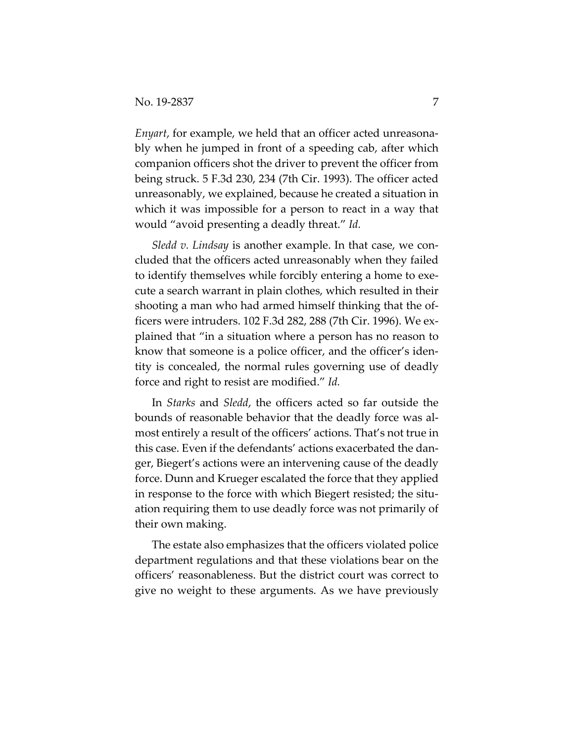*Enyart*, for example, we held that an officer acted unreasonably when he jumped in front of a speeding cab, after which companion officers shot the driver to prevent the officer from being struck. 5 F.3d 230, 234 (7th Cir. 1993). The officer acted unreasonably, we explained, because he created a situation in which it was impossible for a person to react in a way that would "avoid presenting a deadly threat." *Id.*

*Sledd v. Lindsay* is another example. In that case, we concluded that the officers acted unreasonably when they failed to identify themselves while forcibly entering a home to execute a search warrant in plain clothes, which resulted in their shooting a man who had armed himself thinking that the officers were intruders. 102 F.3d 282, 288 (7th Cir. 1996). We explained that "in a situation where a person has no reason to know that someone is a police officer, and the officer's identity is concealed, the normal rules governing use of deadly force and right to resist are modified." *Id.*

In *Starks* and *Sledd*, the officers acted so far outside the bounds of reasonable behavior that the deadly force was almost entirely a result of the officers' actions. That's not true in this case. Even if the defendants' actions exacerbated the danger, Biegert's actions were an intervening cause of the deadly force. Dunn and Krueger escalated the force that they applied in response to the force with which Biegert resisted; the situation requiring them to use deadly force was not primarily of their own making.

The estate also emphasizes that the officers violated police department regulations and that these violations bear on the officers' reasonableness. But the district court was correct to give no weight to these arguments. As we have previously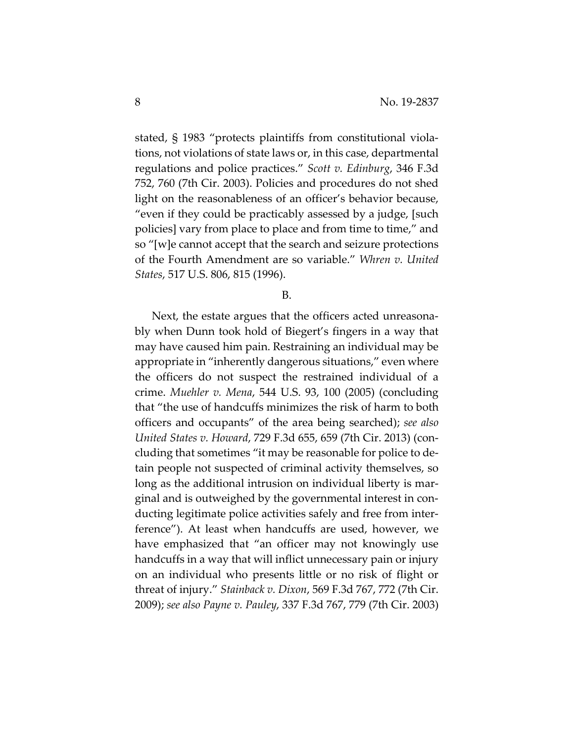stated, § 1983 "protects plaintiffs from constitutional violations, not violations of state laws or, in this case, departmental regulations and police practices." *Scott v. Edinburg*, 346 F.3d 752, 760 (7th Cir. 2003). Policies and procedures do not shed light on the reasonableness of an officer's behavior because, "even if they could be practicably assessed by a judge, [such policies] vary from place to place and from time to time," and so "[w]e cannot accept that the search and seizure protections of the Fourth Amendment are so variable." *Whren v. United States*, 517 U.S. 806, 815 (1996).

## B.

Next, the estate argues that the officers acted unreasonably when Dunn took hold of Biegert's fingers in a way that may have caused him pain. Restraining an individual may be appropriate in "inherently dangerous situations," even where the officers do not suspect the restrained individual of a crime. *Muehler v. Mena*, 544 U.S. 93, 100 (2005) (concluding that "the use of handcuffs minimizes the risk of harm to both officers and occupants" of the area being searched); *see also United States v. Howard*, 729 F.3d 655, 659 (7th Cir. 2013) (concluding that sometimes "it may be reasonable for police to detain people not suspected of criminal activity themselves, so long as the additional intrusion on individual liberty is marginal and is outweighed by the governmental interest in conducting legitimate police activities safely and free from interference"). At least when handcuffs are used, however, we have emphasized that "an officer may not knowingly use handcuffs in a way that will inflict unnecessary pain or injury on an individual who presents little or no risk of flight or threat of injury." *Stainback v. Dixon*, 569 F.3d 767, 772 (7th Cir. 2009); *see also Payne v. Pauley*, 337 F.3d 767, 779 (7th Cir. 2003)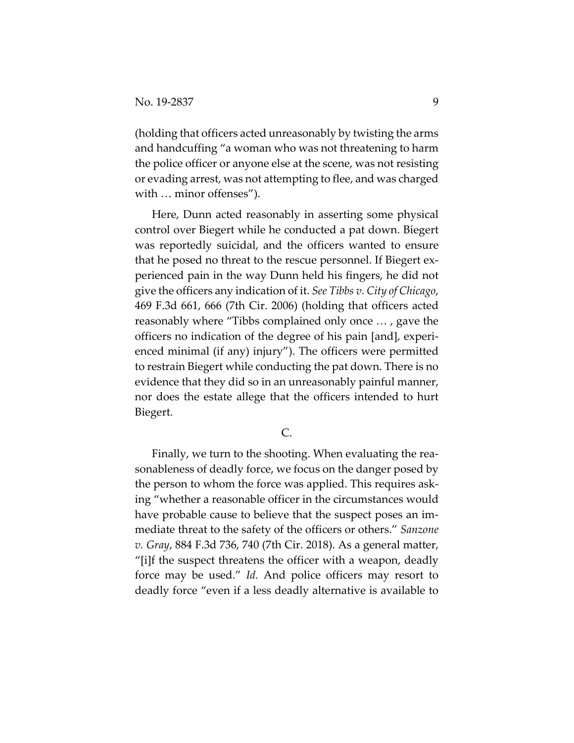(holding that officers acted unreasonably by twisting the arms and handcuffing "a woman who was not threatening to harm the police officer or anyone else at the scene, was not resisting or evading arrest, was not attempting to flee, and was charged with … minor offenses").

Here, Dunn acted reasonably in asserting some physical control over Biegert while he conducted a pat down. Biegert was reportedly suicidal, and the officers wanted to ensure that he posed no threat to the rescue personnel. If Biegert experienced pain in the way Dunn held his fingers, he did not give the officers any indication of it. *See Tibbs v. City of Chicago*, 469 F.3d 661, 666 (7th Cir. 2006) (holding that officers acted reasonably where "Tibbs complained only once … , gave the officers no indication of the degree of his pain [and], experienced minimal (if any) injury"). The officers were permitted to restrain Biegert while conducting the pat down. There is no evidence that they did so in an unreasonably painful manner, nor does the estate allege that the officers intended to hurt Biegert.

C.

Finally, we turn to the shooting. When evaluating the reasonableness of deadly force, we focus on the danger posed by the person to whom the force was applied. This requires asking "whether a reasonable officer in the circumstances would have probable cause to believe that the suspect poses an immediate threat to the safety of the officers or others." *Sanzone v. Gray*, 884 F.3d 736, 740 (7th Cir. 2018). As a general matter, "[i]f the suspect threatens the officer with a weapon, deadly force may be used." *Id.* And police officers may resort to deadly force "even if a less deadly alternative is available to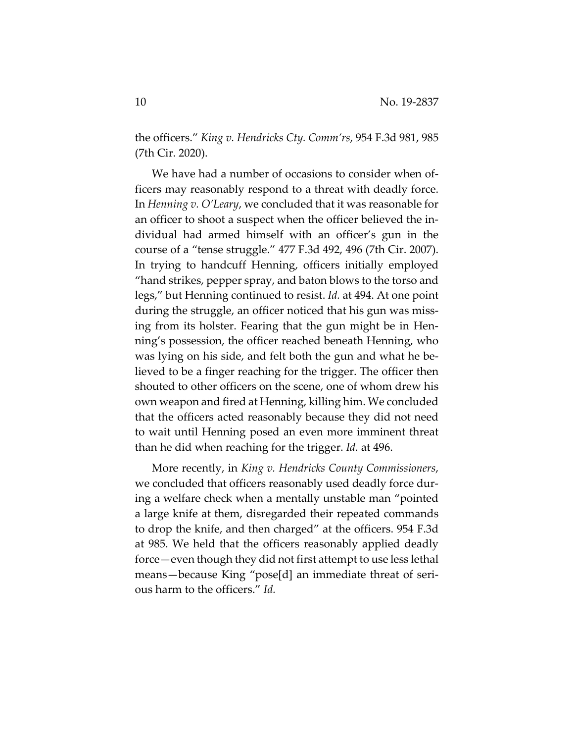the officers." *King v. Hendricks Cty. Comm'rs*, 954 F.3d 981, 985 (7th Cir. 2020).

We have had a number of occasions to consider when officers may reasonably respond to a threat with deadly force. In *Henning v. O'Leary*, we concluded that it was reasonable for an officer to shoot a suspect when the officer believed the individual had armed himself with an officer's gun in the course of a "tense struggle." 477 F.3d 492, 496 (7th Cir. 2007). In trying to handcuff Henning, officers initially employed "hand strikes, pepper spray, and baton blows to the torso and legs," but Henning continued to resist. *Id.* at 494. At one point during the struggle, an officer noticed that his gun was missing from its holster. Fearing that the gun might be in Henning's possession, the officer reached beneath Henning, who was lying on his side, and felt both the gun and what he believed to be a finger reaching for the trigger. The officer then shouted to other officers on the scene, one of whom drew his own weapon and fired at Henning, killing him. We concluded that the officers acted reasonably because they did not need to wait until Henning posed an even more imminent threat than he did when reaching for the trigger. *Id.* at 496.

More recently, in *King v. Hendricks County Commissioners*, we concluded that officers reasonably used deadly force during a welfare check when a mentally unstable man "pointed a large knife at them, disregarded their repeated commands to drop the knife, and then charged" at the officers. 954 F.3d at 985. We held that the officers reasonably applied deadly force—even though they did not first attempt to use less lethal means—because King "pose[d] an immediate threat of serious harm to the officers." *Id.*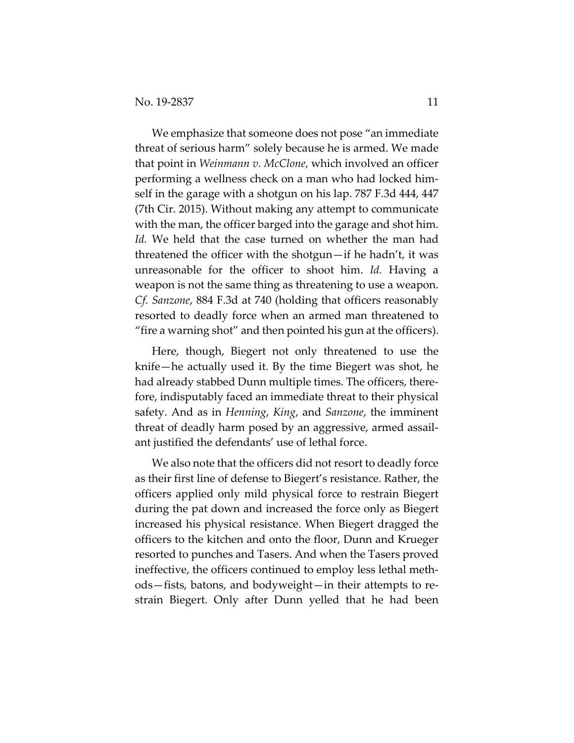We emphasize that someone does not pose "an immediate threat of serious harm" solely because he is armed. We made that point in *Weinmann v. McClone*, which involved an officer performing a wellness check on a man who had locked himself in the garage with a shotgun on his lap. 787 F.3d 444, 447 (7th Cir. 2015). Without making any attempt to communicate with the man, the officer barged into the garage and shot him. *Id.* We held that the case turned on whether the man had threatened the officer with the shotgun—if he hadn't, it was unreasonable for the officer to shoot him. *Id.* Having a weapon is not the same thing as threatening to use a weapon. *Cf. Sanzone*, 884 F.3d at 740 (holding that officers reasonably resorted to deadly force when an armed man threatened to "fire a warning shot" and then pointed his gun at the officers).

Here, though, Biegert not only threatened to use the knife—he actually used it. By the time Biegert was shot, he had already stabbed Dunn multiple times. The officers, therefore, indisputably faced an immediate threat to their physical safety. And as in *Henning*, *King*, and *Sanzone*, the imminent threat of deadly harm posed by an aggressive, armed assailant justified the defendants' use of lethal force.

We also note that the officers did not resort to deadly force as their first line of defense to Biegert's resistance. Rather, the officers applied only mild physical force to restrain Biegert during the pat down and increased the force only as Biegert increased his physical resistance. When Biegert dragged the officers to the kitchen and onto the floor, Dunn and Krueger resorted to punches and Tasers. And when the Tasers proved ineffective, the officers continued to employ less lethal methods—fists, batons, and bodyweight—in their attempts to restrain Biegert. Only after Dunn yelled that he had been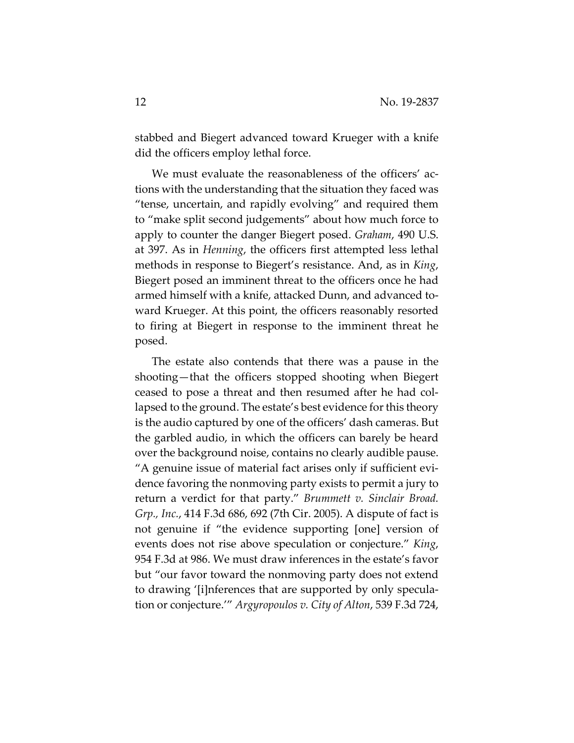stabbed and Biegert advanced toward Krueger with a knife did the officers employ lethal force.

We must evaluate the reasonableness of the officers' actions with the understanding that the situation they faced was "tense, uncertain, and rapidly evolving" and required them to "make split second judgements" about how much force to apply to counter the danger Biegert posed. *Graham*, 490 U.S. at 397. As in *Henning*, the officers first attempted less lethal methods in response to Biegert's resistance. And, as in *King*, Biegert posed an imminent threat to the officers once he had armed himself with a knife, attacked Dunn, and advanced toward Krueger. At this point, the officers reasonably resorted to firing at Biegert in response to the imminent threat he posed.

The estate also contends that there was a pause in the shooting—that the officers stopped shooting when Biegert ceased to pose a threat and then resumed after he had collapsed to the ground. The estate's best evidence for this theory is the audio captured by one of the officers' dash cameras. But the garbled audio, in which the officers can barely be heard over the background noise, contains no clearly audible pause. "A genuine issue of material fact arises only if sufficient evidence favoring the nonmoving party exists to permit a jury to return a verdict for that party." *Brummett v. Sinclair Broad. Grp., Inc.*, 414 F.3d 686, 692 (7th Cir. 2005). A dispute of fact is not genuine if "the evidence supporting [one] version of events does not rise above speculation or conjecture." *King*, 954 F.3d at 986. We must draw inferences in the estate's favor but "our favor toward the nonmoving party does not extend to drawing '[i]nferences that are supported by only speculation or conjecture.'" *Argyropoulos v. City of Alton*, 539 F.3d 724,